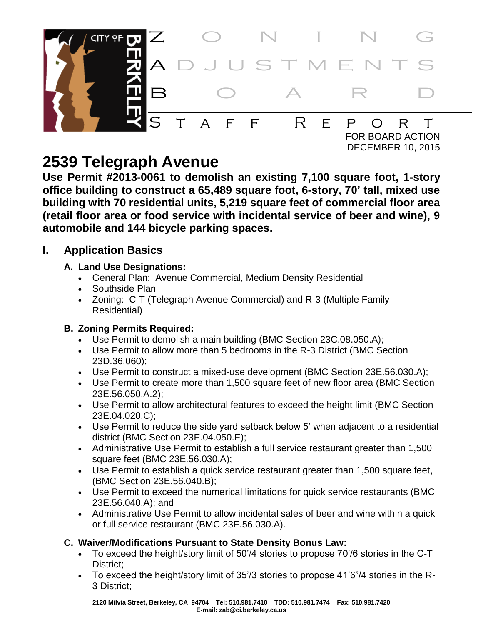

# **2539 Telegraph Avenue**

**Use Permit #2013-0061 to demolish an existing 7,100 square foot, 1-story office building to construct a 65,489 square foot, 6-story, 70' tall, mixed use building with 70 residential units, 5,219 square feet of commercial floor area (retail floor area or food service with incidental service of beer and wine), 9 automobile and 144 bicycle parking spaces.**

# **I. Application Basics**

# **A. Land Use Designations:**

- General Plan: Avenue Commercial, Medium Density Residential
- Southside Plan
- Zoning: C-T (Telegraph Avenue Commercial) and R-3 (Multiple Family Residential)

# **B. Zoning Permits Required:**

- Use Permit to demolish a main building (BMC Section 23C.08.050.A);
- Use Permit to allow more than 5 bedrooms in the R-3 District (BMC Section 23D.36.060);
- Use Permit to construct a mixed-use development (BMC Section 23E.56.030.A);
- Use Permit to create more than 1,500 square feet of new floor area (BMC Section 23E.56.050.A.2);
- Use Permit to allow architectural features to exceed the height limit (BMC Section 23E.04.020.C);
- Use Permit to reduce the side yard setback below 5' when adjacent to a residential district (BMC Section 23E.04.050.E);
- Administrative Use Permit to establish a full service restaurant greater than 1,500 square feet (BMC 23E.56.030.A);
- Use Permit to establish a quick service restaurant greater than 1,500 square feet, (BMC Section 23E.56.040.B);
- Use Permit to exceed the numerical limitations for quick service restaurants (BMC 23E.56.040.A); and
- Administrative Use Permit to allow incidental sales of beer and wine within a quick or full service restaurant (BMC 23E.56.030.A).

# **C. Waiver/Modifications Pursuant to State Density Bonus Law:**

- To exceed the height/story limit of 50'/4 stories to propose 70'/6 stories in the C-T District:
- To exceed the height/story limit of 35'/3 stories to propose 41'6"/4 stories in the R-3 District;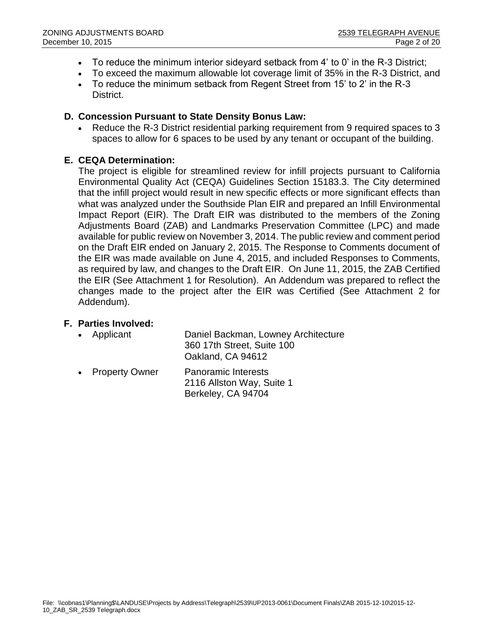- To reduce the minimum interior sideyard setback from 4' to 0' in the R-3 District;
- To exceed the maximum allowable lot coverage limit of 35% in the R-3 District, and
- To reduce the minimum setback from Regent Street from 15' to 2' in the R-3 District.

#### **D. Concession Pursuant to State Density Bonus Law:**

 Reduce the R-3 District residential parking requirement from 9 required spaces to 3 spaces to allow for 6 spaces to be used by any tenant or occupant of the building.

#### **E. CEQA Determination:**

The project is eligible for streamlined review for infill projects pursuant to California Environmental Quality Act (CEQA) Guidelines Section 15183.3. The City determined that the infill project would result in new specific effects or more significant effects than what was analyzed under the Southside Plan EIR and prepared an Infill Environmental Impact Report (EIR). The Draft EIR was distributed to the members of the Zoning Adjustments Board (ZAB) and Landmarks Preservation Committee (LPC) and made available for public review on November 3, 2014. The public review and comment period on the Draft EIR ended on January 2, 2015. The Response to Comments document of the EIR was made available on June 4, 2015, and included Responses to Comments, as required by law, and changes to the Draft EIR. On June 11, 2015, the ZAB Certified the EIR (See Attachment 1 for Resolution). An Addendum was prepared to reflect the changes made to the project after the EIR was Certified (See Attachment 2 for Addendum).

#### **F. Parties Involved:**

| • Applicant              | Daniel Backman, Lowney Architecture<br>360 17th Street, Suite 100<br>Oakland, CA 94612 |
|--------------------------|----------------------------------------------------------------------------------------|
| $\bullet$ Property Owner | Panoramic Interests                                                                    |

 Property Owner Panoramic Interests 2116 Allston Way, Suite 1 Berkeley, CA 94704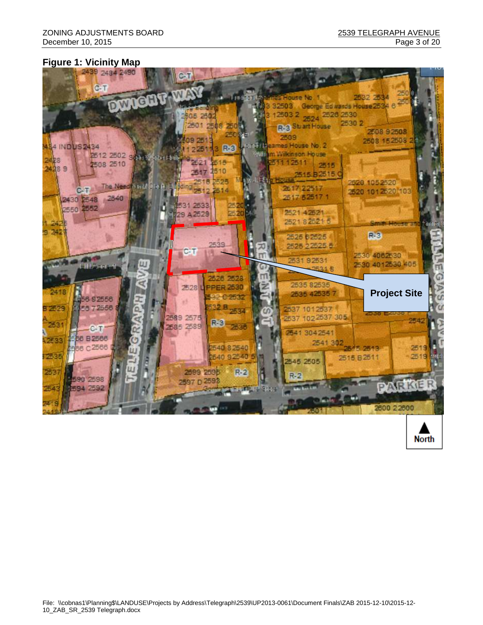**North** 

#### **Figure 1: Vicinity Map**

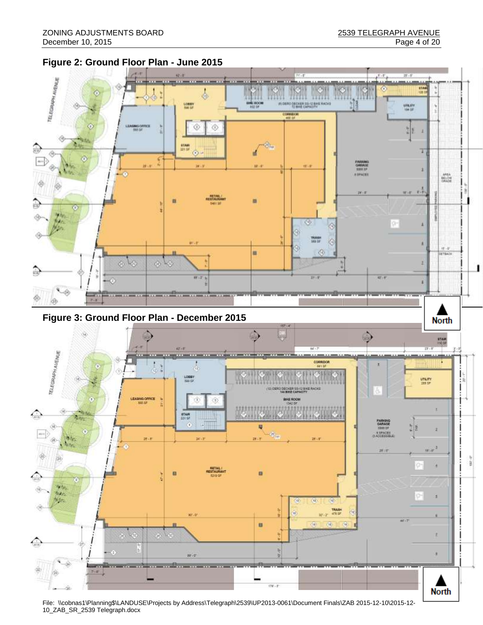



File: \\cobnas1\Planning\$\LANDUSE\Projects by Address\Telegraph\2539\UP2013-0061\Document Finals\ZAB 2015-12-10\2015-12- 10\_ZAB\_SR\_2539 Telegraph.docx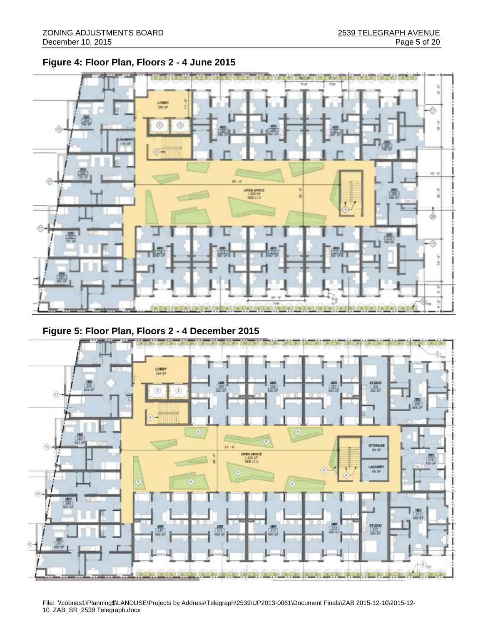**Figure 4: Floor Plan, Floors 2 - 4 June 2015**



# **Figure 5: Floor Plan, Floors 2 - 4 December 2015**



File: \\cobnas1\Planning\$\LANDUSE\Projects by Address\Telegraph\2539\UP2013-0061\Document Finals\ZAB 2015-12-10\2015-12- 10\_ZAB\_SR\_2539 Telegraph.docx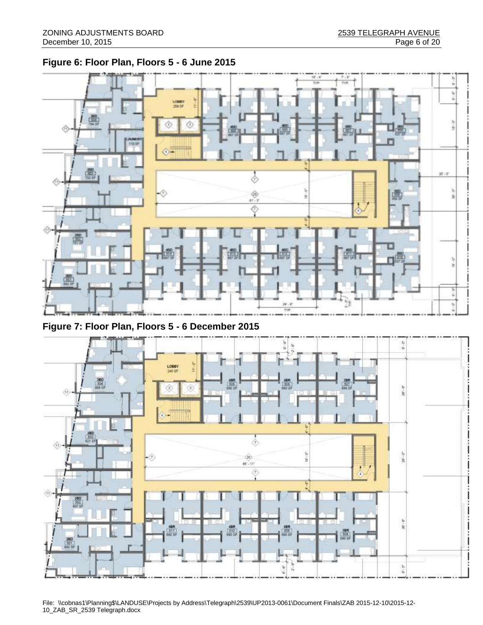# **Figure 6: Floor Plan, Floors 5 - 6 June 2015**



**Figure 7: Floor Plan, Floors 5 - 6 December 2015**



File: \\cobnas1\Planning\$\LANDUSE\Projects by Address\Telegraph\2539\UP2013-0061\Document Finals\ZAB 2015-12-10\2015-12- 10\_ZAB\_SR\_2539 Telegraph.docx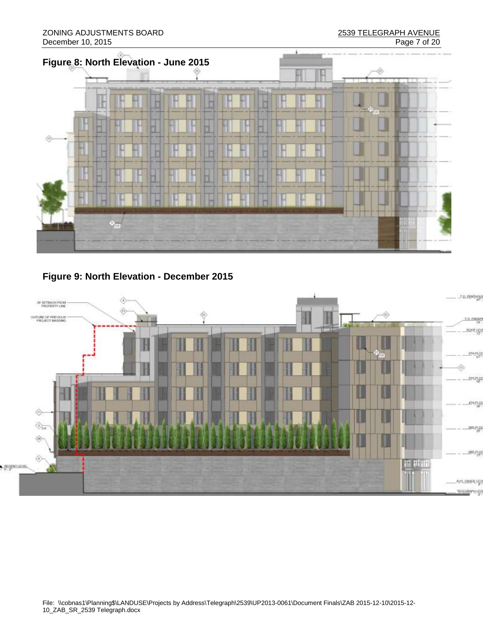

**Figure 9: North Elevation - December 2015**

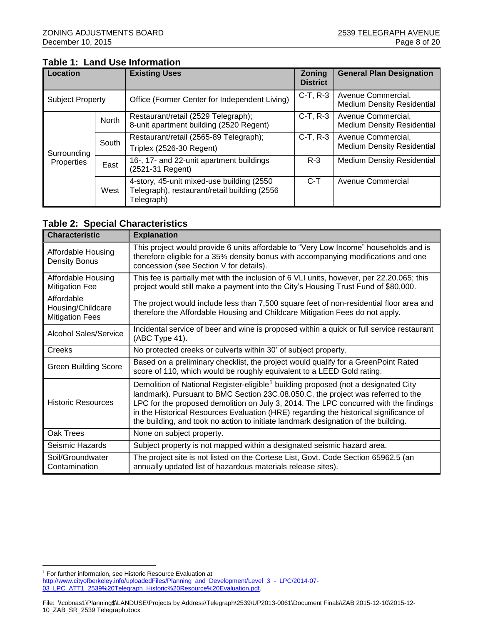### **Table 1: Land Use Information**

| Location                |                                                                      | <b>Existing Uses</b>                                                                                     | <b>Zoning</b><br><b>District</b> | <b>General Plan Designation</b>                         |  |
|-------------------------|----------------------------------------------------------------------|----------------------------------------------------------------------------------------------------------|----------------------------------|---------------------------------------------------------|--|
| <b>Subject Property</b> |                                                                      | Office (Former Center for Independent Living)                                                            | $C-T, R-3$                       | Avenue Commercial,<br><b>Medium Density Residential</b> |  |
|                         | <b>North</b>                                                         | Restaurant/retail (2529 Telegraph);<br>8-unit apartment building (2520 Regent)                           | C-T, R-3                         | Avenue Commercial,<br><b>Medium Density Residential</b> |  |
| Surrounding             | South                                                                | Restaurant/retail (2565-89 Telegraph);<br>Triplex (2526-30 Regent)                                       | $C-T, R-3$                       | Avenue Commercial,<br><b>Medium Density Residential</b> |  |
| Properties              | 16-, 17- and 22-unit apartment buildings<br>East<br>(2521-31 Regent) |                                                                                                          | $R-3$                            | <b>Medium Density Residential</b>                       |  |
|                         | West                                                                 | 4-story, 45-unit mixed-use building (2550)<br>Telegraph), restaurant/retail building (2556<br>Telegraph) | $C-T$                            | <b>Avenue Commercial</b>                                |  |

#### **Table 2: Special Characteristics**

| <b>Characteristic</b>                                     | <b>Explanation</b>                                                                                                                                                                                                                                                                                                                                                                                                                                        |  |  |  |  |
|-----------------------------------------------------------|-----------------------------------------------------------------------------------------------------------------------------------------------------------------------------------------------------------------------------------------------------------------------------------------------------------------------------------------------------------------------------------------------------------------------------------------------------------|--|--|--|--|
| Affordable Housing<br><b>Density Bonus</b>                | This project would provide 6 units affordable to "Very Low Income" households and is<br>therefore eligible for a 35% density bonus with accompanying modifications and one<br>concession (see Section V for details).                                                                                                                                                                                                                                     |  |  |  |  |
| Affordable Housing<br><b>Mitigation Fee</b>               | This fee is partially met with the inclusion of 6 VLI units, however, per 22.20.065; this<br>project would still make a payment into the City's Housing Trust Fund of \$80,000.                                                                                                                                                                                                                                                                           |  |  |  |  |
| Affordable<br>Housing/Childcare<br><b>Mitigation Fees</b> | The project would include less than 7,500 square feet of non-residential floor area and<br>therefore the Affordable Housing and Childcare Mitigation Fees do not apply.                                                                                                                                                                                                                                                                                   |  |  |  |  |
| <b>Alcohol Sales/Service</b>                              | Incidental service of beer and wine is proposed within a quick or full service restaurant<br>(ABC Type 41).                                                                                                                                                                                                                                                                                                                                               |  |  |  |  |
| Creeks                                                    | No protected creeks or culverts within 30' of subject property.                                                                                                                                                                                                                                                                                                                                                                                           |  |  |  |  |
| <b>Green Building Score</b>                               | Based on a preliminary checklist, the project would qualify for a GreenPoint Rated<br>score of 110, which would be roughly equivalent to a LEED Gold rating.                                                                                                                                                                                                                                                                                              |  |  |  |  |
| <b>Historic Resources</b>                                 | Demolition of National Register-eligible <sup>1</sup> building proposed (not a designated City<br>landmark). Pursuant to BMC Section 23C.08.050.C, the project was referred to the<br>LPC for the proposed demolition on July 3, 2014. The LPC concurred with the findings<br>in the Historical Resources Evaluation (HRE) regarding the historical significance of<br>the building, and took no action to initiate landmark designation of the building. |  |  |  |  |
| Oak Trees                                                 | None on subject property.                                                                                                                                                                                                                                                                                                                                                                                                                                 |  |  |  |  |
| Seismic Hazards                                           | Subject property is not mapped within a designated seismic hazard area.                                                                                                                                                                                                                                                                                                                                                                                   |  |  |  |  |
| Soil/Groundwater<br>Contamination                         | The project site is not listed on the Cortese List, Govt. Code Section 65962.5 (an<br>annually updated list of hazardous materials release sites).                                                                                                                                                                                                                                                                                                        |  |  |  |  |

 $\overline{a}$ 

<sup>&</sup>lt;sup>1</sup> For further information, see Historic Resource Evaluation at

[http://www.cityofberkeley.info/uploadedFiles/Planning\\_and\\_Development/Level\\_3\\_-\\_LPC/2014-07-](http://www.cityofberkeley.info/uploadedFiles/Planning_and_Development/Level_3_-_LPC/2014-07-03_LPC_ATT1_2539%20Telegraph_Historic%20Resource%20Evaluation.pdf)

[<sup>03</sup>\\_LPC\\_ATT1\\_2539%20Telegraph\\_Historic%20Resource%20Evaluation.pdf.](http://www.cityofberkeley.info/uploadedFiles/Planning_and_Development/Level_3_-_LPC/2014-07-03_LPC_ATT1_2539%20Telegraph_Historic%20Resource%20Evaluation.pdf)

File: \\cobnas1\Planning\$\LANDUSE\Projects by Address\Telegraph\2539\UP2013-0061\Document Finals\ZAB 2015-12-10\2015-12- 10\_ZAB\_SR\_2539 Telegraph.docx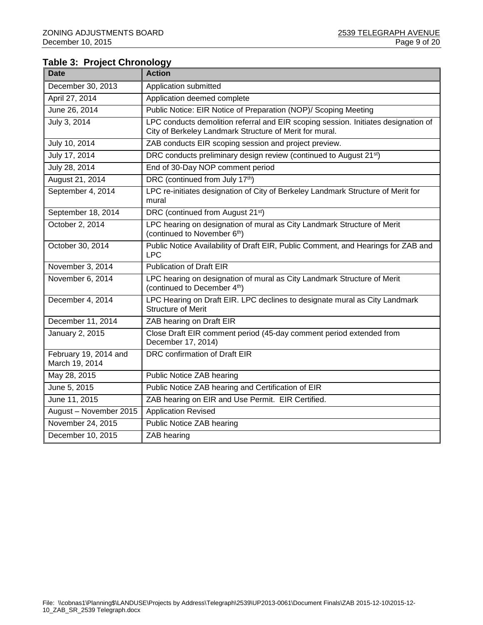## **Table 3: Project Chronology**

| Date                                    | <b>Action</b>                                                                                                                                 |
|-----------------------------------------|-----------------------------------------------------------------------------------------------------------------------------------------------|
| December 30, 2013                       | Application submitted                                                                                                                         |
| April 27, 2014                          | Application deemed complete                                                                                                                   |
| June 26, 2014                           | Public Notice: EIR Notice of Preparation (NOP)/ Scoping Meeting                                                                               |
| July 3, 2014                            | LPC conducts demolition referral and EIR scoping session. Initiates designation of<br>City of Berkeley Landmark Structure of Merit for mural. |
| July 10, 2014                           | ZAB conducts EIR scoping session and project preview.                                                                                         |
| July 17, 2014                           | DRC conducts preliminary design review (continued to August 21 <sup>st</sup> )                                                                |
| July 28, 2014                           | End of 30-Day NOP comment period                                                                                                              |
| August 21, 2014                         | DRC (continued from July 17th)                                                                                                                |
| September 4, 2014                       | LPC re-initiates designation of City of Berkeley Landmark Structure of Merit for<br>mural                                                     |
| September 18, 2014                      | DRC (continued from August 21 <sup>st)</sup>                                                                                                  |
| October 2, 2014                         | LPC hearing on designation of mural as City Landmark Structure of Merit<br>(continued to November 6 <sup>th</sup> )                           |
| October 30, 2014                        | Public Notice Availability of Draft EIR, Public Comment, and Hearings for ZAB and<br><b>LPC</b>                                               |
| November 3, 2014                        | <b>Publication of Draft EIR</b>                                                                                                               |
| November 6, 2014                        | LPC hearing on designation of mural as City Landmark Structure of Merit<br>(continued to December 4th)                                        |
| December 4, 2014                        | LPC Hearing on Draft EIR. LPC declines to designate mural as City Landmark<br><b>Structure of Merit</b>                                       |
| December 11, 2014                       | ZAB hearing on Draft EIR                                                                                                                      |
| January 2, 2015                         | Close Draft EIR comment period (45-day comment period extended from<br>December 17, 2014)                                                     |
| February 19, 2014 and<br>March 19, 2014 | DRC confirmation of Draft EIR                                                                                                                 |
| May 28, 2015                            | Public Notice ZAB hearing                                                                                                                     |
| June 5, 2015                            | Public Notice ZAB hearing and Certification of EIR                                                                                            |
| June 11, 2015                           | ZAB hearing on EIR and Use Permit. EIR Certified.                                                                                             |
| August - November 2015                  | <b>Application Revised</b>                                                                                                                    |
| November 24, 2015                       | Public Notice ZAB hearing                                                                                                                     |
| December 10, 2015                       | ZAB hearing                                                                                                                                   |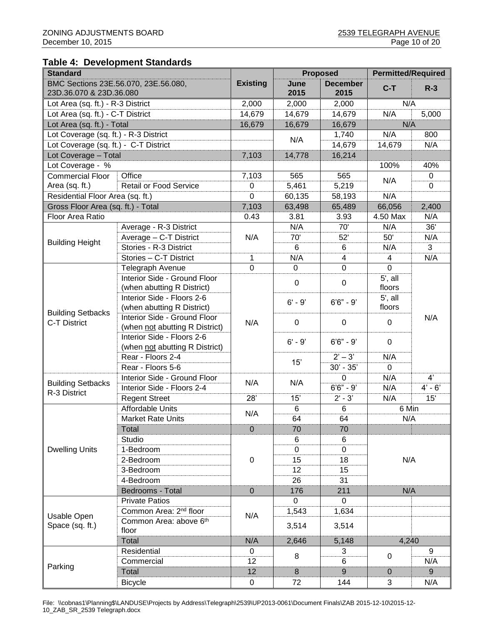#### **Table 4: Development Standards**

| BMC Sections 23E.56.070, 23E.56.080,<br>June<br><b>December</b><br>$C-T$<br>$R-3$<br>23D.36.070 & 23D.36.080<br>2015<br>2015<br>2,000<br>N/A<br>2,000<br>2,000<br>Lot Area (sq. ft.) - R-3 District<br>N/A<br>14,679<br>14,679<br>14,679<br>5,000<br>Lot Area (sq. ft.) - C-T District<br>N/A<br>Lot Area (sq. ft.) - Total<br>16,679<br>16,679<br>16,679<br>N/A<br>800<br>Lot Coverage (sq. ft.) - R-3 District<br>1,740<br>N/A<br>N/A<br>Lot Coverage (sq. ft.) - C-T District<br>14,679<br>14,679<br>Lot Coverage - Total<br>7,103<br>14,778<br>16,214<br>Lot Coverage - %<br>100%<br>40%<br>Office<br>7,103<br>565<br>565<br>0<br><b>Commercial Floor</b><br>N/A<br>Area (sq. ft.)<br><b>Retail or Food Service</b><br>5,461<br>5,219<br>0<br>0<br>Residential Floor Area (sq. ft.)<br>$\mathbf 0$<br>N/A<br>60,135<br>58,193<br>7,103<br>66,056<br>Gross Floor Area (sq. ft.) - Total<br>63,498<br>65,489<br>2,400<br>Floor Area Ratio<br>0.43<br>N/A<br>3.81<br>3.93<br>4.50 Max<br>36'<br>70'<br>N/A<br>N/A<br>Average - R-3 District<br>50'<br>Average - C-T District<br>N/A<br>70'<br>52'<br>N/A<br><b>Building Height</b><br>Stories - R-3 District<br>3<br>6<br>N/A<br>6<br>$\overline{\mathbf{4}}$<br>N/A<br>Stories - C-T District<br>N/A<br>1<br>4<br>$\mathbf 0$<br>$\mathbf 0$<br>$\mathbf 0$<br>$\mathbf 0$<br>Telegraph Avenue<br>Interior Side - Ground Floor<br>$5'$ , all<br>$\pmb{0}$<br>0<br>floors<br>(when abutting R District)<br>Interior Side - Floors 2-6<br>$5'$ , all<br>$6'6'' - 9'$<br>$6' - 9'$<br>(when abutting R District)<br>floors<br><b>Building Setbacks</b><br>Interior Side - Ground Floor<br>N/A<br>$\pmb{0}$<br>0<br>0<br>C-T District<br>N/A<br>(when not abutting R District)<br>Interior Side - Floors 2-6<br>$6' - 9'$<br>$6'6'' - 9'$<br>$\mathbf 0$<br>(when not abutting R District)<br>$2' - 3'$<br>Rear - Floors 2-4<br>N/A<br>15'<br>$30' - 35'$<br>Rear - Floors 5-6<br>0<br>4'<br>Interior Side - Ground Floor<br>N/A<br>0<br>N/A<br>N/A<br><b>Building Setbacks</b><br>$6'6'' - 9'$<br>$4' - 6'$<br>Interior Side - Floors 2-4<br>N/A<br>R-3 District<br>28'<br>15'<br><b>Regent Street</b><br>$2' - 3'$<br>N/A<br>15'<br><b>Affordable Units</b><br>6<br>6 Min<br>6<br>N/A<br>64<br>64<br>N/A<br><b>Market Rate Units</b><br>$\overline{0}$<br>Total<br>70<br>70<br>Studio<br>6<br>6<br><b>Dwelling Units</b><br>1-Bedroom<br>0<br>0<br>18<br>$\boldsymbol{0}$<br>N/A<br>2-Bedroom<br>15<br>15<br>3-Bedroom<br>12<br>31<br>4-Bedroom<br>26<br>$\boldsymbol{0}$<br>176<br>211<br>N/A<br>Bedrooms - Total<br>0<br>0<br><b>Private Patios</b><br>Common Area: 2 <sup>nd</sup> floor<br>1,634<br>1,543<br>N/A<br>Usable Open<br>Common Area: above 6th<br>Space (sq. ft.)<br>3,514<br>3,514<br>floor<br>N/A<br>4,240<br>Total<br>2,646<br>5,148<br>Residential<br>9<br>0<br>3<br>8<br>$\mathbf 0$<br>6<br>Commercial<br>12<br>N/A<br>Parking<br>$\overline{9}$<br>Total<br>12<br>8<br>9<br>$\mathbf{0}$ | <b>Standard</b> |                 |           | <b>Proposed</b> | <b>Permitted/Required</b> |   |     |  |
|----------------------------------------------------------------------------------------------------------------------------------------------------------------------------------------------------------------------------------------------------------------------------------------------------------------------------------------------------------------------------------------------------------------------------------------------------------------------------------------------------------------------------------------------------------------------------------------------------------------------------------------------------------------------------------------------------------------------------------------------------------------------------------------------------------------------------------------------------------------------------------------------------------------------------------------------------------------------------------------------------------------------------------------------------------------------------------------------------------------------------------------------------------------------------------------------------------------------------------------------------------------------------------------------------------------------------------------------------------------------------------------------------------------------------------------------------------------------------------------------------------------------------------------------------------------------------------------------------------------------------------------------------------------------------------------------------------------------------------------------------------------------------------------------------------------------------------------------------------------------------------------------------------------------------------------------------------------------------------------------------------------------------------------------------------------------------------------------------------------------------------------------------------------------------------------------------------------------------------------------------------------------------------------------------------------------------------------------------------------------------------------------------------------------------------------------------------------------------------------------------------------------------------------------------------------------------------------------------------------------------------------------------------------------------------------------------------------------------------------------------------------------------------------------------------------------------------------------------------------------------------------------------------------------------------------------------------------|-----------------|-----------------|-----------|-----------------|---------------------------|---|-----|--|
|                                                                                                                                                                                                                                                                                                                                                                                                                                                                                                                                                                                                                                                                                                                                                                                                                                                                                                                                                                                                                                                                                                                                                                                                                                                                                                                                                                                                                                                                                                                                                                                                                                                                                                                                                                                                                                                                                                                                                                                                                                                                                                                                                                                                                                                                                                                                                                                                                                                                                                                                                                                                                                                                                                                                                                                                                                                                                                                                                                |                 | <b>Existing</b> |           |                 |                           |   |     |  |
|                                                                                                                                                                                                                                                                                                                                                                                                                                                                                                                                                                                                                                                                                                                                                                                                                                                                                                                                                                                                                                                                                                                                                                                                                                                                                                                                                                                                                                                                                                                                                                                                                                                                                                                                                                                                                                                                                                                                                                                                                                                                                                                                                                                                                                                                                                                                                                                                                                                                                                                                                                                                                                                                                                                                                                                                                                                                                                                                                                |                 |                 |           |                 |                           |   |     |  |
|                                                                                                                                                                                                                                                                                                                                                                                                                                                                                                                                                                                                                                                                                                                                                                                                                                                                                                                                                                                                                                                                                                                                                                                                                                                                                                                                                                                                                                                                                                                                                                                                                                                                                                                                                                                                                                                                                                                                                                                                                                                                                                                                                                                                                                                                                                                                                                                                                                                                                                                                                                                                                                                                                                                                                                                                                                                                                                                                                                |                 |                 |           |                 |                           |   |     |  |
|                                                                                                                                                                                                                                                                                                                                                                                                                                                                                                                                                                                                                                                                                                                                                                                                                                                                                                                                                                                                                                                                                                                                                                                                                                                                                                                                                                                                                                                                                                                                                                                                                                                                                                                                                                                                                                                                                                                                                                                                                                                                                                                                                                                                                                                                                                                                                                                                                                                                                                                                                                                                                                                                                                                                                                                                                                                                                                                                                                |                 |                 |           |                 |                           |   |     |  |
|                                                                                                                                                                                                                                                                                                                                                                                                                                                                                                                                                                                                                                                                                                                                                                                                                                                                                                                                                                                                                                                                                                                                                                                                                                                                                                                                                                                                                                                                                                                                                                                                                                                                                                                                                                                                                                                                                                                                                                                                                                                                                                                                                                                                                                                                                                                                                                                                                                                                                                                                                                                                                                                                                                                                                                                                                                                                                                                                                                |                 |                 |           |                 |                           |   |     |  |
|                                                                                                                                                                                                                                                                                                                                                                                                                                                                                                                                                                                                                                                                                                                                                                                                                                                                                                                                                                                                                                                                                                                                                                                                                                                                                                                                                                                                                                                                                                                                                                                                                                                                                                                                                                                                                                                                                                                                                                                                                                                                                                                                                                                                                                                                                                                                                                                                                                                                                                                                                                                                                                                                                                                                                                                                                                                                                                                                                                |                 |                 |           |                 |                           |   |     |  |
|                                                                                                                                                                                                                                                                                                                                                                                                                                                                                                                                                                                                                                                                                                                                                                                                                                                                                                                                                                                                                                                                                                                                                                                                                                                                                                                                                                                                                                                                                                                                                                                                                                                                                                                                                                                                                                                                                                                                                                                                                                                                                                                                                                                                                                                                                                                                                                                                                                                                                                                                                                                                                                                                                                                                                                                                                                                                                                                                                                |                 |                 |           |                 |                           |   |     |  |
|                                                                                                                                                                                                                                                                                                                                                                                                                                                                                                                                                                                                                                                                                                                                                                                                                                                                                                                                                                                                                                                                                                                                                                                                                                                                                                                                                                                                                                                                                                                                                                                                                                                                                                                                                                                                                                                                                                                                                                                                                                                                                                                                                                                                                                                                                                                                                                                                                                                                                                                                                                                                                                                                                                                                                                                                                                                                                                                                                                |                 |                 |           |                 |                           |   |     |  |
|                                                                                                                                                                                                                                                                                                                                                                                                                                                                                                                                                                                                                                                                                                                                                                                                                                                                                                                                                                                                                                                                                                                                                                                                                                                                                                                                                                                                                                                                                                                                                                                                                                                                                                                                                                                                                                                                                                                                                                                                                                                                                                                                                                                                                                                                                                                                                                                                                                                                                                                                                                                                                                                                                                                                                                                                                                                                                                                                                                |                 |                 |           |                 |                           |   |     |  |
|                                                                                                                                                                                                                                                                                                                                                                                                                                                                                                                                                                                                                                                                                                                                                                                                                                                                                                                                                                                                                                                                                                                                                                                                                                                                                                                                                                                                                                                                                                                                                                                                                                                                                                                                                                                                                                                                                                                                                                                                                                                                                                                                                                                                                                                                                                                                                                                                                                                                                                                                                                                                                                                                                                                                                                                                                                                                                                                                                                |                 |                 |           |                 |                           |   |     |  |
|                                                                                                                                                                                                                                                                                                                                                                                                                                                                                                                                                                                                                                                                                                                                                                                                                                                                                                                                                                                                                                                                                                                                                                                                                                                                                                                                                                                                                                                                                                                                                                                                                                                                                                                                                                                                                                                                                                                                                                                                                                                                                                                                                                                                                                                                                                                                                                                                                                                                                                                                                                                                                                                                                                                                                                                                                                                                                                                                                                |                 |                 |           |                 |                           |   |     |  |
|                                                                                                                                                                                                                                                                                                                                                                                                                                                                                                                                                                                                                                                                                                                                                                                                                                                                                                                                                                                                                                                                                                                                                                                                                                                                                                                                                                                                                                                                                                                                                                                                                                                                                                                                                                                                                                                                                                                                                                                                                                                                                                                                                                                                                                                                                                                                                                                                                                                                                                                                                                                                                                                                                                                                                                                                                                                                                                                                                                |                 |                 |           |                 |                           |   |     |  |
|                                                                                                                                                                                                                                                                                                                                                                                                                                                                                                                                                                                                                                                                                                                                                                                                                                                                                                                                                                                                                                                                                                                                                                                                                                                                                                                                                                                                                                                                                                                                                                                                                                                                                                                                                                                                                                                                                                                                                                                                                                                                                                                                                                                                                                                                                                                                                                                                                                                                                                                                                                                                                                                                                                                                                                                                                                                                                                                                                                |                 |                 |           |                 |                           |   |     |  |
|                                                                                                                                                                                                                                                                                                                                                                                                                                                                                                                                                                                                                                                                                                                                                                                                                                                                                                                                                                                                                                                                                                                                                                                                                                                                                                                                                                                                                                                                                                                                                                                                                                                                                                                                                                                                                                                                                                                                                                                                                                                                                                                                                                                                                                                                                                                                                                                                                                                                                                                                                                                                                                                                                                                                                                                                                                                                                                                                                                |                 |                 |           |                 |                           |   |     |  |
|                                                                                                                                                                                                                                                                                                                                                                                                                                                                                                                                                                                                                                                                                                                                                                                                                                                                                                                                                                                                                                                                                                                                                                                                                                                                                                                                                                                                                                                                                                                                                                                                                                                                                                                                                                                                                                                                                                                                                                                                                                                                                                                                                                                                                                                                                                                                                                                                                                                                                                                                                                                                                                                                                                                                                                                                                                                                                                                                                                |                 |                 |           |                 |                           |   |     |  |
|                                                                                                                                                                                                                                                                                                                                                                                                                                                                                                                                                                                                                                                                                                                                                                                                                                                                                                                                                                                                                                                                                                                                                                                                                                                                                                                                                                                                                                                                                                                                                                                                                                                                                                                                                                                                                                                                                                                                                                                                                                                                                                                                                                                                                                                                                                                                                                                                                                                                                                                                                                                                                                                                                                                                                                                                                                                                                                                                                                |                 |                 |           |                 |                           |   |     |  |
|                                                                                                                                                                                                                                                                                                                                                                                                                                                                                                                                                                                                                                                                                                                                                                                                                                                                                                                                                                                                                                                                                                                                                                                                                                                                                                                                                                                                                                                                                                                                                                                                                                                                                                                                                                                                                                                                                                                                                                                                                                                                                                                                                                                                                                                                                                                                                                                                                                                                                                                                                                                                                                                                                                                                                                                                                                                                                                                                                                |                 |                 |           |                 |                           |   |     |  |
|                                                                                                                                                                                                                                                                                                                                                                                                                                                                                                                                                                                                                                                                                                                                                                                                                                                                                                                                                                                                                                                                                                                                                                                                                                                                                                                                                                                                                                                                                                                                                                                                                                                                                                                                                                                                                                                                                                                                                                                                                                                                                                                                                                                                                                                                                                                                                                                                                                                                                                                                                                                                                                                                                                                                                                                                                                                                                                                                                                |                 |                 |           |                 |                           |   |     |  |
|                                                                                                                                                                                                                                                                                                                                                                                                                                                                                                                                                                                                                                                                                                                                                                                                                                                                                                                                                                                                                                                                                                                                                                                                                                                                                                                                                                                                                                                                                                                                                                                                                                                                                                                                                                                                                                                                                                                                                                                                                                                                                                                                                                                                                                                                                                                                                                                                                                                                                                                                                                                                                                                                                                                                                                                                                                                                                                                                                                |                 |                 |           |                 |                           |   |     |  |
|                                                                                                                                                                                                                                                                                                                                                                                                                                                                                                                                                                                                                                                                                                                                                                                                                                                                                                                                                                                                                                                                                                                                                                                                                                                                                                                                                                                                                                                                                                                                                                                                                                                                                                                                                                                                                                                                                                                                                                                                                                                                                                                                                                                                                                                                                                                                                                                                                                                                                                                                                                                                                                                                                                                                                                                                                                                                                                                                                                |                 |                 |           |                 |                           |   |     |  |
|                                                                                                                                                                                                                                                                                                                                                                                                                                                                                                                                                                                                                                                                                                                                                                                                                                                                                                                                                                                                                                                                                                                                                                                                                                                                                                                                                                                                                                                                                                                                                                                                                                                                                                                                                                                                                                                                                                                                                                                                                                                                                                                                                                                                                                                                                                                                                                                                                                                                                                                                                                                                                                                                                                                                                                                                                                                                                                                                                                |                 |                 |           |                 |                           |   |     |  |
|                                                                                                                                                                                                                                                                                                                                                                                                                                                                                                                                                                                                                                                                                                                                                                                                                                                                                                                                                                                                                                                                                                                                                                                                                                                                                                                                                                                                                                                                                                                                                                                                                                                                                                                                                                                                                                                                                                                                                                                                                                                                                                                                                                                                                                                                                                                                                                                                                                                                                                                                                                                                                                                                                                                                                                                                                                                                                                                                                                |                 |                 |           |                 |                           |   |     |  |
|                                                                                                                                                                                                                                                                                                                                                                                                                                                                                                                                                                                                                                                                                                                                                                                                                                                                                                                                                                                                                                                                                                                                                                                                                                                                                                                                                                                                                                                                                                                                                                                                                                                                                                                                                                                                                                                                                                                                                                                                                                                                                                                                                                                                                                                                                                                                                                                                                                                                                                                                                                                                                                                                                                                                                                                                                                                                                                                                                                |                 |                 |           |                 |                           |   |     |  |
|                                                                                                                                                                                                                                                                                                                                                                                                                                                                                                                                                                                                                                                                                                                                                                                                                                                                                                                                                                                                                                                                                                                                                                                                                                                                                                                                                                                                                                                                                                                                                                                                                                                                                                                                                                                                                                                                                                                                                                                                                                                                                                                                                                                                                                                                                                                                                                                                                                                                                                                                                                                                                                                                                                                                                                                                                                                                                                                                                                |                 |                 |           |                 |                           |   |     |  |
|                                                                                                                                                                                                                                                                                                                                                                                                                                                                                                                                                                                                                                                                                                                                                                                                                                                                                                                                                                                                                                                                                                                                                                                                                                                                                                                                                                                                                                                                                                                                                                                                                                                                                                                                                                                                                                                                                                                                                                                                                                                                                                                                                                                                                                                                                                                                                                                                                                                                                                                                                                                                                                                                                                                                                                                                                                                                                                                                                                |                 |                 |           |                 |                           |   |     |  |
|                                                                                                                                                                                                                                                                                                                                                                                                                                                                                                                                                                                                                                                                                                                                                                                                                                                                                                                                                                                                                                                                                                                                                                                                                                                                                                                                                                                                                                                                                                                                                                                                                                                                                                                                                                                                                                                                                                                                                                                                                                                                                                                                                                                                                                                                                                                                                                                                                                                                                                                                                                                                                                                                                                                                                                                                                                                                                                                                                                |                 |                 |           |                 |                           |   |     |  |
|                                                                                                                                                                                                                                                                                                                                                                                                                                                                                                                                                                                                                                                                                                                                                                                                                                                                                                                                                                                                                                                                                                                                                                                                                                                                                                                                                                                                                                                                                                                                                                                                                                                                                                                                                                                                                                                                                                                                                                                                                                                                                                                                                                                                                                                                                                                                                                                                                                                                                                                                                                                                                                                                                                                                                                                                                                                                                                                                                                |                 |                 |           |                 |                           |   |     |  |
|                                                                                                                                                                                                                                                                                                                                                                                                                                                                                                                                                                                                                                                                                                                                                                                                                                                                                                                                                                                                                                                                                                                                                                                                                                                                                                                                                                                                                                                                                                                                                                                                                                                                                                                                                                                                                                                                                                                                                                                                                                                                                                                                                                                                                                                                                                                                                                                                                                                                                                                                                                                                                                                                                                                                                                                                                                                                                                                                                                |                 |                 |           |                 |                           |   |     |  |
|                                                                                                                                                                                                                                                                                                                                                                                                                                                                                                                                                                                                                                                                                                                                                                                                                                                                                                                                                                                                                                                                                                                                                                                                                                                                                                                                                                                                                                                                                                                                                                                                                                                                                                                                                                                                                                                                                                                                                                                                                                                                                                                                                                                                                                                                                                                                                                                                                                                                                                                                                                                                                                                                                                                                                                                                                                                                                                                                                                |                 |                 |           |                 |                           |   |     |  |
|                                                                                                                                                                                                                                                                                                                                                                                                                                                                                                                                                                                                                                                                                                                                                                                                                                                                                                                                                                                                                                                                                                                                                                                                                                                                                                                                                                                                                                                                                                                                                                                                                                                                                                                                                                                                                                                                                                                                                                                                                                                                                                                                                                                                                                                                                                                                                                                                                                                                                                                                                                                                                                                                                                                                                                                                                                                                                                                                                                |                 |                 |           |                 |                           |   |     |  |
|                                                                                                                                                                                                                                                                                                                                                                                                                                                                                                                                                                                                                                                                                                                                                                                                                                                                                                                                                                                                                                                                                                                                                                                                                                                                                                                                                                                                                                                                                                                                                                                                                                                                                                                                                                                                                                                                                                                                                                                                                                                                                                                                                                                                                                                                                                                                                                                                                                                                                                                                                                                                                                                                                                                                                                                                                                                                                                                                                                |                 |                 |           |                 |                           |   |     |  |
|                                                                                                                                                                                                                                                                                                                                                                                                                                                                                                                                                                                                                                                                                                                                                                                                                                                                                                                                                                                                                                                                                                                                                                                                                                                                                                                                                                                                                                                                                                                                                                                                                                                                                                                                                                                                                                                                                                                                                                                                                                                                                                                                                                                                                                                                                                                                                                                                                                                                                                                                                                                                                                                                                                                                                                                                                                                                                                                                                                |                 |                 |           |                 |                           |   |     |  |
|                                                                                                                                                                                                                                                                                                                                                                                                                                                                                                                                                                                                                                                                                                                                                                                                                                                                                                                                                                                                                                                                                                                                                                                                                                                                                                                                                                                                                                                                                                                                                                                                                                                                                                                                                                                                                                                                                                                                                                                                                                                                                                                                                                                                                                                                                                                                                                                                                                                                                                                                                                                                                                                                                                                                                                                                                                                                                                                                                                |                 |                 |           |                 |                           |   |     |  |
|                                                                                                                                                                                                                                                                                                                                                                                                                                                                                                                                                                                                                                                                                                                                                                                                                                                                                                                                                                                                                                                                                                                                                                                                                                                                                                                                                                                                                                                                                                                                                                                                                                                                                                                                                                                                                                                                                                                                                                                                                                                                                                                                                                                                                                                                                                                                                                                                                                                                                                                                                                                                                                                                                                                                                                                                                                                                                                                                                                |                 |                 |           |                 |                           |   |     |  |
|                                                                                                                                                                                                                                                                                                                                                                                                                                                                                                                                                                                                                                                                                                                                                                                                                                                                                                                                                                                                                                                                                                                                                                                                                                                                                                                                                                                                                                                                                                                                                                                                                                                                                                                                                                                                                                                                                                                                                                                                                                                                                                                                                                                                                                                                                                                                                                                                                                                                                                                                                                                                                                                                                                                                                                                                                                                                                                                                                                |                 |                 |           |                 |                           |   |     |  |
|                                                                                                                                                                                                                                                                                                                                                                                                                                                                                                                                                                                                                                                                                                                                                                                                                                                                                                                                                                                                                                                                                                                                                                                                                                                                                                                                                                                                                                                                                                                                                                                                                                                                                                                                                                                                                                                                                                                                                                                                                                                                                                                                                                                                                                                                                                                                                                                                                                                                                                                                                                                                                                                                                                                                                                                                                                                                                                                                                                |                 |                 |           |                 |                           |   |     |  |
|                                                                                                                                                                                                                                                                                                                                                                                                                                                                                                                                                                                                                                                                                                                                                                                                                                                                                                                                                                                                                                                                                                                                                                                                                                                                                                                                                                                                                                                                                                                                                                                                                                                                                                                                                                                                                                                                                                                                                                                                                                                                                                                                                                                                                                                                                                                                                                                                                                                                                                                                                                                                                                                                                                                                                                                                                                                                                                                                                                |                 |                 |           |                 |                           |   |     |  |
|                                                                                                                                                                                                                                                                                                                                                                                                                                                                                                                                                                                                                                                                                                                                                                                                                                                                                                                                                                                                                                                                                                                                                                                                                                                                                                                                                                                                                                                                                                                                                                                                                                                                                                                                                                                                                                                                                                                                                                                                                                                                                                                                                                                                                                                                                                                                                                                                                                                                                                                                                                                                                                                                                                                                                                                                                                                                                                                                                                |                 |                 |           |                 |                           |   |     |  |
|                                                                                                                                                                                                                                                                                                                                                                                                                                                                                                                                                                                                                                                                                                                                                                                                                                                                                                                                                                                                                                                                                                                                                                                                                                                                                                                                                                                                                                                                                                                                                                                                                                                                                                                                                                                                                                                                                                                                                                                                                                                                                                                                                                                                                                                                                                                                                                                                                                                                                                                                                                                                                                                                                                                                                                                                                                                                                                                                                                |                 |                 |           |                 |                           |   |     |  |
|                                                                                                                                                                                                                                                                                                                                                                                                                                                                                                                                                                                                                                                                                                                                                                                                                                                                                                                                                                                                                                                                                                                                                                                                                                                                                                                                                                                                                                                                                                                                                                                                                                                                                                                                                                                                                                                                                                                                                                                                                                                                                                                                                                                                                                                                                                                                                                                                                                                                                                                                                                                                                                                                                                                                                                                                                                                                                                                                                                |                 |                 |           |                 |                           |   |     |  |
|                                                                                                                                                                                                                                                                                                                                                                                                                                                                                                                                                                                                                                                                                                                                                                                                                                                                                                                                                                                                                                                                                                                                                                                                                                                                                                                                                                                                                                                                                                                                                                                                                                                                                                                                                                                                                                                                                                                                                                                                                                                                                                                                                                                                                                                                                                                                                                                                                                                                                                                                                                                                                                                                                                                                                                                                                                                                                                                                                                |                 |                 |           |                 |                           |   |     |  |
|                                                                                                                                                                                                                                                                                                                                                                                                                                                                                                                                                                                                                                                                                                                                                                                                                                                                                                                                                                                                                                                                                                                                                                                                                                                                                                                                                                                                                                                                                                                                                                                                                                                                                                                                                                                                                                                                                                                                                                                                                                                                                                                                                                                                                                                                                                                                                                                                                                                                                                                                                                                                                                                                                                                                                                                                                                                                                                                                                                |                 |                 |           |                 |                           |   |     |  |
|                                                                                                                                                                                                                                                                                                                                                                                                                                                                                                                                                                                                                                                                                                                                                                                                                                                                                                                                                                                                                                                                                                                                                                                                                                                                                                                                                                                                                                                                                                                                                                                                                                                                                                                                                                                                                                                                                                                                                                                                                                                                                                                                                                                                                                                                                                                                                                                                                                                                                                                                                                                                                                                                                                                                                                                                                                                                                                                                                                |                 |                 |           |                 |                           |   |     |  |
|                                                                                                                                                                                                                                                                                                                                                                                                                                                                                                                                                                                                                                                                                                                                                                                                                                                                                                                                                                                                                                                                                                                                                                                                                                                                                                                                                                                                                                                                                                                                                                                                                                                                                                                                                                                                                                                                                                                                                                                                                                                                                                                                                                                                                                                                                                                                                                                                                                                                                                                                                                                                                                                                                                                                                                                                                                                                                                                                                                |                 |                 |           |                 |                           |   |     |  |
|                                                                                                                                                                                                                                                                                                                                                                                                                                                                                                                                                                                                                                                                                                                                                                                                                                                                                                                                                                                                                                                                                                                                                                                                                                                                                                                                                                                                                                                                                                                                                                                                                                                                                                                                                                                                                                                                                                                                                                                                                                                                                                                                                                                                                                                                                                                                                                                                                                                                                                                                                                                                                                                                                                                                                                                                                                                                                                                                                                |                 |                 |           |                 |                           |   |     |  |
|                                                                                                                                                                                                                                                                                                                                                                                                                                                                                                                                                                                                                                                                                                                                                                                                                                                                                                                                                                                                                                                                                                                                                                                                                                                                                                                                                                                                                                                                                                                                                                                                                                                                                                                                                                                                                                                                                                                                                                                                                                                                                                                                                                                                                                                                                                                                                                                                                                                                                                                                                                                                                                                                                                                                                                                                                                                                                                                                                                |                 |                 |           |                 |                           |   |     |  |
|                                                                                                                                                                                                                                                                                                                                                                                                                                                                                                                                                                                                                                                                                                                                                                                                                                                                                                                                                                                                                                                                                                                                                                                                                                                                                                                                                                                                                                                                                                                                                                                                                                                                                                                                                                                                                                                                                                                                                                                                                                                                                                                                                                                                                                                                                                                                                                                                                                                                                                                                                                                                                                                                                                                                                                                                                                                                                                                                                                |                 |                 |           |                 |                           |   |     |  |
|                                                                                                                                                                                                                                                                                                                                                                                                                                                                                                                                                                                                                                                                                                                                                                                                                                                                                                                                                                                                                                                                                                                                                                                                                                                                                                                                                                                                                                                                                                                                                                                                                                                                                                                                                                                                                                                                                                                                                                                                                                                                                                                                                                                                                                                                                                                                                                                                                                                                                                                                                                                                                                                                                                                                                                                                                                                                                                                                                                |                 | <b>Bicycle</b>  | $\pmb{0}$ | 72              | 144                       | 3 | N/A |  |

File: \\cobnas1\Planning\$\LANDUSE\Projects by Address\Telegraph\2539\UP2013-0061\Document Finals\ZAB 2015-12-10\2015-12- 10\_ZAB\_SR\_2539 Telegraph.docx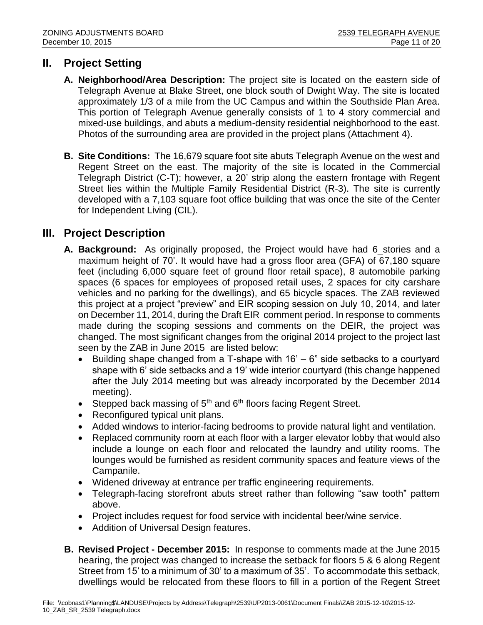# **II. Project Setting**

- **A. Neighborhood/Area Description:** The project site is located on the eastern side of Telegraph Avenue at Blake Street, one block south of Dwight Way. The site is located approximately 1/3 of a mile from the UC Campus and within the Southside Plan Area. This portion of Telegraph Avenue generally consists of 1 to 4 story commercial and mixed-use buildings, and abuts a medium-density residential neighborhood to the east. Photos of the surrounding area are provided in the project plans (Attachment 4).
- **B. Site Conditions:** The 16,679 square foot site abuts Telegraph Avenue on the west and Regent Street on the east. The majority of the site is located in the Commercial Telegraph District (C-T); however, a 20' strip along the eastern frontage with Regent Street lies within the Multiple Family Residential District (R-3). The site is currently developed with a 7,103 square foot office building that was once the site of the Center for Independent Living (CIL).

# **III. Project Description**

- **A. Background:** As originally proposed, the Project would have had 6\_stories and a maximum height of 70'. It would have had a gross floor area (GFA) of 67,180 square feet (including 6,000 square feet of ground floor retail space), 8 automobile parking spaces (6 spaces for employees of proposed retail uses, 2 spaces for city carshare vehicles and no parking for the dwellings), and 65 bicycle spaces. The ZAB reviewed this project at a project "preview" and EIR scoping session on July 10, 2014, and later on December 11, 2014, during the Draft EIR comment period. In response to comments made during the scoping sessions and comments on the DEIR, the project was changed. The most significant changes from the original 2014 project to the project last seen by the ZAB in June 2015 are listed below:
	- Building shape changed from a T-shape with  $16' 6''$  side setbacks to a courtyard shape with 6' side setbacks and a 19' wide interior courtyard (this change happened after the July 2014 meeting but was already incorporated by the December 2014 meeting).
	- Stepped back massing of  $5<sup>th</sup>$  and  $6<sup>th</sup>$  floors facing Regent Street.
	- Reconfigured typical unit plans.
	- Added windows to interior-facing bedrooms to provide natural light and ventilation.
	- Replaced community room at each floor with a larger elevator lobby that would also include a lounge on each floor and relocated the laundry and utility rooms. The lounges would be furnished as resident community spaces and feature views of the Campanile.
	- Widened driveway at entrance per traffic engineering requirements.
	- Telegraph-facing storefront abuts street rather than following "saw tooth" pattern above.
	- Project includes request for food service with incidental beer/wine service.
	- Addition of Universal Design features.
- **B. Revised Project - December 2015:** In response to comments made at the June 2015 hearing, the project was changed to increase the setback for floors 5 & 6 along Regent Street from 15' to a minimum of 30' to a maximum of 35'. To accommodate this setback, dwellings would be relocated from these floors to fill in a portion of the Regent Street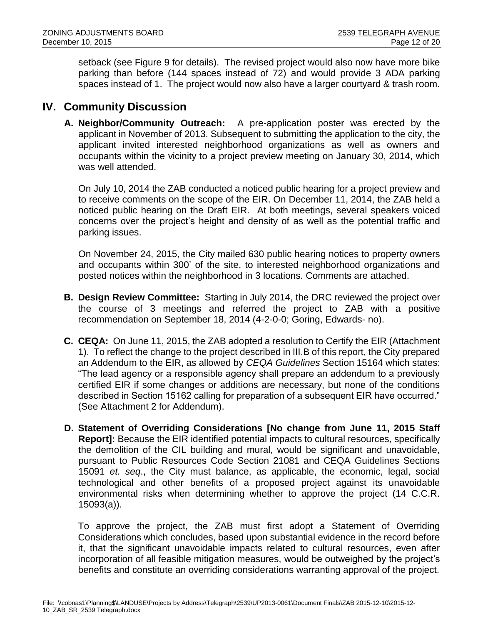setback (see Figure 9 for details). The revised project would also now have more bike parking than before (144 spaces instead of 72) and would provide 3 ADA parking spaces instead of 1. The project would now also have a larger courtyard & trash room.

# **IV. Community Discussion**

**A. Neighbor/Community Outreach:** A pre-application poster was erected by the applicant in November of 2013. Subsequent to submitting the application to the city, the applicant invited interested neighborhood organizations as well as owners and occupants within the vicinity to a project preview meeting on January 30, 2014, which was well attended.

On July 10, 2014 the ZAB conducted a noticed public hearing for a project preview and to receive comments on the scope of the EIR. On December 11, 2014, the ZAB held a noticed public hearing on the Draft EIR. At both meetings, several speakers voiced concerns over the project's height and density of as well as the potential traffic and parking issues.

On November 24, 2015, the City mailed 630 public hearing notices to property owners and occupants within 300' of the site, to interested neighborhood organizations and posted notices within the neighborhood in 3 locations. Comments are attached.

- **B. Design Review Committee:** Starting in July 2014, the DRC reviewed the project over the course of 3 meetings and referred the project to ZAB with a positive recommendation on September 18, 2014 (4-2-0-0; Goring, Edwards- no).
- **C. CEQA:** On June 11, 2015, the ZAB adopted a resolution to Certify the EIR (Attachment 1). To reflect the change to the project described in III.B of this report, the City prepared an Addendum to the EIR, as allowed by *CEQA Guidelines* Section 15164 which states: "The lead agency or a responsible agency shall prepare an addendum to a previously certified EIR if some changes or additions are necessary, but none of the conditions described in Section 15162 calling for preparation of a subsequent EIR have occurred." (See Attachment 2 for Addendum).
- **D. Statement of Overriding Considerations [No change from June 11, 2015 Staff Report]:** Because the EIR identified potential impacts to cultural resources, specifically the demolition of the CIL building and mural, would be significant and unavoidable, pursuant to Public Resources Code Section 21081 and CEQA Guidelines Sections 15091 *et. seq*., the City must balance, as applicable, the economic, legal, social technological and other benefits of a proposed project against its unavoidable environmental risks when determining whether to approve the project (14 C.C.R. 15093(a)).

To approve the project, the ZAB must first adopt a Statement of Overriding Considerations which concludes, based upon substantial evidence in the record before it, that the significant unavoidable impacts related to cultural resources, even after incorporation of all feasible mitigation measures, would be outweighed by the project's benefits and constitute an overriding considerations warranting approval of the project.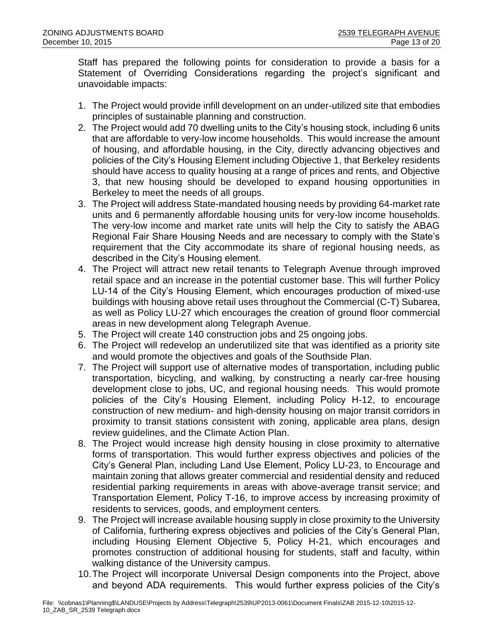Staff has prepared the following points for consideration to provide a basis for a Statement of Overriding Considerations regarding the project's significant and unavoidable impacts:

- 1. The Project would provide infill development on an under-utilized site that embodies principles of sustainable planning and construction.
- 2. The Project would add 70 dwelling units to the City's housing stock, including 6 units that are affordable to very-low income households. This would increase the amount of housing, and affordable housing, in the City, directly advancing objectives and policies of the City's Housing Element including Objective 1, that Berkeley residents should have access to quality housing at a range of prices and rents, and Objective 3, that new housing should be developed to expand housing opportunities in Berkeley to meet the needs of all groups.
- 3. The Project will address State-mandated housing needs by providing 64-market rate units and 6 permanently affordable housing units for very-low income households. The very-low income and market rate units will help the City to satisfy the ABAG Regional Fair Share Housing Needs and are necessary to comply with the State's requirement that the City accommodate its share of regional housing needs, as described in the City's Housing element.
- 4. The Project will attract new retail tenants to Telegraph Avenue through improved retail space and an increase in the potential customer base. This will further Policy LU-14 of the City's Housing Element, which encourages production of mixed-use buildings with housing above retail uses throughout the Commercial (C-T) Subarea, as well as Policy LU-27 which encourages the creation of ground floor commercial areas in new development along Telegraph Avenue.
- 5. The Project will create 140 construction jobs and 25 ongoing jobs.
- 6. The Project will redevelop an underutilized site that was identified as a priority site and would promote the objectives and goals of the Southside Plan.
- 7. The Project will support use of alternative modes of transportation, including public transportation, bicycling, and walking, by constructing a nearly car-free housing development close to jobs, UC, and regional housing needs. This would promote policies of the City's Housing Element, including Policy H-12, to encourage construction of new medium- and high-density housing on major transit corridors in proximity to transit stations consistent with zoning, applicable area plans, design review guidelines, and the Climate Action Plan.
- 8. The Project would increase high density housing in close proximity to alternative forms of transportation. This would further express objectives and policies of the City's General Plan, including Land Use Element, Policy LU-23, to Encourage and maintain zoning that allows greater commercial and residential density and reduced residential parking requirements in areas with above-average transit service; and Transportation Element, Policy T-16, to improve access by increasing proximity of residents to services, goods, and employment centers.
- 9. The Project will increase available housing supply in close proximity to the University of California, furthering express objectives and policies of the City's General Plan, including Housing Element Objective 5, Policy H-21, which encourages and promotes construction of additional housing for students, staff and faculty, within walking distance of the University campus.
- 10.The Project will incorporate Universal Design components into the Project, above and beyond ADA requirements. This would further express policies of the City's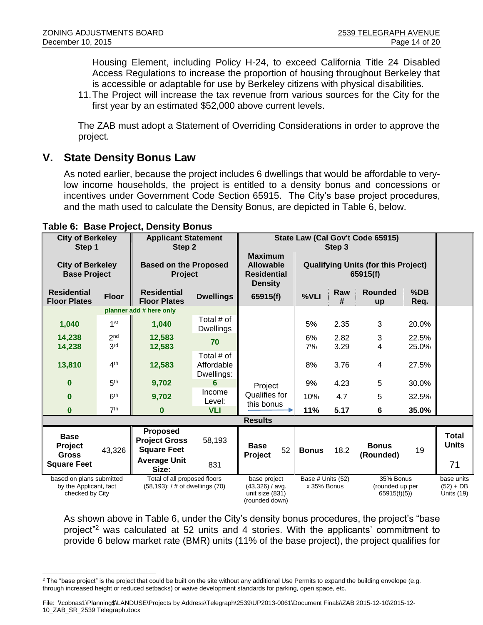Housing Element, including Policy H-24, to exceed California Title 24 Disabled Access Regulations to increase the proportion of housing throughout Berkeley that is accessible or adaptable for use by Berkeley citizens with physical disabilities.

11.The Project will increase the tax revenue from various sources for the City for the first year by an estimated \$52,000 above current levels.

The ZAB must adopt a Statement of Overriding Considerations in order to approve the project.

# **V. State Density Bonus Law**

As noted earlier, because the project includes 6 dwellings that would be affordable to verylow income households, the project is entitled to a density bonus and concessions or incentives under Government Code Section 65915. The City's base project procedures, and the math used to calculate the Density Bonus, are depicted in Table 6, below.

| <b>City of Berkeley</b><br>Step 1                                     |                 | <b>Applicant Statement</b><br>Step 2                                  |                                        | State Law (Cal Gov't Code 65915)<br>Step 3                                 |                                                        |          |                                             |                |                                         |
|-----------------------------------------------------------------------|-----------------|-----------------------------------------------------------------------|----------------------------------------|----------------------------------------------------------------------------|--------------------------------------------------------|----------|---------------------------------------------|----------------|-----------------------------------------|
| <b>City of Berkeley</b><br><b>Base Project</b>                        |                 | <b>Based on the Proposed</b><br>Project                               |                                        | <b>Maximum</b><br><b>Allowable</b><br><b>Residential</b><br><b>Density</b> | <b>Qualifying Units (for this Project)</b><br>65915(f) |          |                                             |                |                                         |
| <b>Residential</b><br><b>Floor Plates</b>                             | <b>Floor</b>    | <b>Residential</b><br><b>Floor Plates</b>                             | <b>Dwellings</b>                       | 65915(f)                                                                   | %VLI                                                   | Raw<br># | <b>Rounded</b><br>up                        | $%$ DB<br>Req. |                                         |
|                                                                       |                 | planner add # here only                                               |                                        |                                                                            |                                                        |          |                                             |                |                                         |
| 1,040                                                                 | 1 <sup>st</sup> | 1,040                                                                 | Total # of<br><b>Dwellings</b>         |                                                                            | 5%                                                     | 2.35     | 3                                           | 20.0%          |                                         |
| 14,238                                                                | 2 <sub>nd</sub> | 12,583                                                                |                                        |                                                                            | 6%                                                     | 2.82     | 3                                           | 22.5%          |                                         |
| 14,238                                                                | 3 <sup>rd</sup> | 12,583                                                                | 70                                     |                                                                            | 7%                                                     | 3.29     | 4                                           | 25.0%          |                                         |
| 13,810                                                                | 4 <sup>th</sup> | 12,583                                                                | Total # of<br>Affordable<br>Dwellings: |                                                                            | 8%                                                     | 3.76     | 4                                           | 27.5%          |                                         |
| $\bf{0}$                                                              | 5 <sup>th</sup> | 9,702                                                                 | 6                                      | Project                                                                    | 9%                                                     | 4.23     | 5                                           | 30.0%          |                                         |
| $\Omega$                                                              | 6 <sup>th</sup> | 9,702                                                                 | Income<br>Level:                       | Qualifies for<br>this bonus                                                | 10%                                                    | 4.7      | 5                                           | 32.5%          |                                         |
| $\bf{0}$                                                              | 7 <sup>th</sup> | $\bf{0}$                                                              | <b>VLI</b>                             |                                                                            | 11%                                                    | 5.17     | 6                                           | 35.0%          |                                         |
|                                                                       |                 |                                                                       |                                        | <b>Results</b>                                                             |                                                        |          |                                             |                |                                         |
| <b>Base</b><br><b>Project</b><br><b>Gross</b>                         | 43,326          | <b>Proposed</b><br><b>Project Gross</b><br><b>Square Feet</b>         | 58,193                                 | <b>Base</b><br>52<br>Project                                               | <b>Bonus</b>                                           | 18.2     | <b>Bonus</b><br>(Rounded)                   | 19             | <b>Total</b><br><b>Units</b>            |
| <b>Square Feet</b>                                                    |                 | <b>Average Unit</b><br>Size:                                          | 831                                    |                                                                            |                                                        |          |                                             |                | 71                                      |
| based on plans submitted<br>by the Applicant, fact<br>checked by City |                 | Total of all proposed floors<br>$(58, 193)$ ; / # of dwellings $(70)$ |                                        | base project<br>(43,326) / avg.<br>unit size (831)<br>(rounded down)       | Base # Units (52)<br>x 35% Bonus                       |          | 35% Bonus<br>(rounded up per<br>65915(f)(5) |                | base units<br>$(52) + DB$<br>Units (19) |

#### **Table 6: Base Project, Density Bonus**

As shown above in Table 6, under the City's density bonus procedures, the project's "base project"<sup>2</sup> was calculated at 52 units and 4 stories. With the applicants' commitment to provide 6 below market rate (BMR) units (11% of the base project), the project qualifies for

 $\overline{a}$  $2$  The "base project" is the project that could be built on the site without any additional Use Permits to expand the building envelope (e.g. through increased height or reduced setbacks) or waive development standards for parking, open space, etc.

File: \\cobnas1\Planning\$\LANDUSE\Projects by Address\Telegraph\2539\UP2013-0061\Document Finals\ZAB 2015-12-10\2015-12- 10\_ZAB\_SR\_2539 Telegraph.docx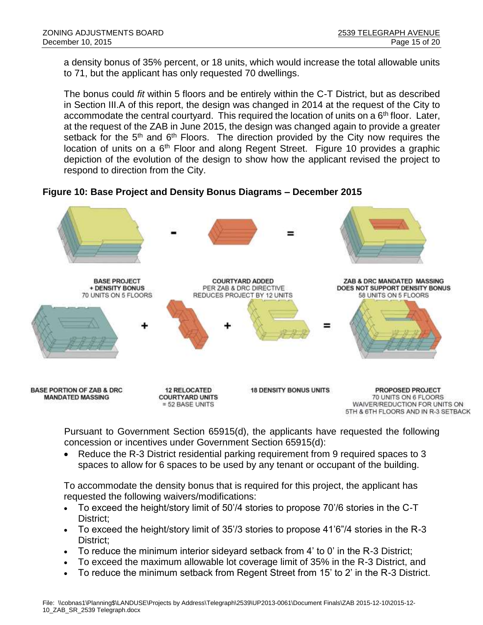a density bonus of 35% percent, or 18 units, which would increase the total allowable units to 71, but the applicant has only requested 70 dwellings.

The bonus could *fit* within 5 floors and be entirely within the C-T District, but as described in Section III.A of this report, the design was changed in 2014 at the request of the City to accommodate the central courtyard. This required the location of units on a  $6<sup>th</sup>$  floor. Later, at the request of the ZAB in June 2015, the design was changed again to provide a greater setback for the 5<sup>th</sup> and 6<sup>th</sup> Floors. The direction provided by the City now requires the location of units on a 6<sup>th</sup> Floor and along Regent Street. Figure 10 provides a graphic depiction of the evolution of the design to show how the applicant revised the project to respond to direction from the City.

**Figure 10: Base Project and Density Bonus Diagrams – December 2015**



Pursuant to Government Section 65915(d), the applicants have requested the following concession or incentives under Government Section 65915(d):

 Reduce the R-3 District residential parking requirement from 9 required spaces to 3 spaces to allow for 6 spaces to be used by any tenant or occupant of the building.

To accommodate the density bonus that is required for this project, the applicant has requested the following waivers/modifications:

- To exceed the height/story limit of 50'/4 stories to propose 70'/6 stories in the C-T District:
- To exceed the height/story limit of 35'/3 stories to propose 41'6"/4 stories in the R-3 District:
- To reduce the minimum interior sideyard setback from 4' to 0' in the R-3 District;
- To exceed the maximum allowable lot coverage limit of 35% in the R-3 District, and
- To reduce the minimum setback from Regent Street from 15' to 2' in the R-3 District.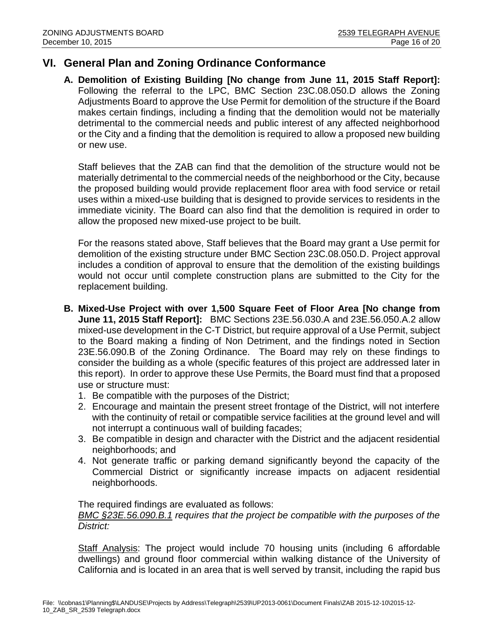# **VI. General Plan and Zoning Ordinance Conformance**

**A. Demolition of Existing Building [No change from June 11, 2015 Staff Report]:** Following the referral to the LPC, BMC Section 23C.08.050.D allows the Zoning Adjustments Board to approve the Use Permit for demolition of the structure if the Board makes certain findings, including a finding that the demolition would not be materially detrimental to the commercial needs and public interest of any affected neighborhood or the City and a finding that the demolition is required to allow a proposed new building or new use.

Staff believes that the ZAB can find that the demolition of the structure would not be materially detrimental to the commercial needs of the neighborhood or the City, because the proposed building would provide replacement floor area with food service or retail uses within a mixed-use building that is designed to provide services to residents in the immediate vicinity. The Board can also find that the demolition is required in order to allow the proposed new mixed-use project to be built.

For the reasons stated above, Staff believes that the Board may grant a Use permit for demolition of the existing structure under BMC Section 23C.08.050.D. Project approval includes a condition of approval to ensure that the demolition of the existing buildings would not occur until complete construction plans are submitted to the City for the replacement building.

- **B. Mixed-Use Project with over 1,500 Square Feet of Floor Area [No change from June 11, 2015 Staff Report]:** BMC Sections 23E.56.030.A and 23E.56.050.A.2 allow mixed-use development in the C-T District, but require approval of a Use Permit, subject to the Board making a finding of Non Detriment, and the findings noted in Section 23E.56.090.B of the Zoning Ordinance. The Board may rely on these findings to consider the building as a whole (specific features of this project are addressed later in this report). In order to approve these Use Permits, the Board must find that a proposed use or structure must:
	- 1. Be compatible with the purposes of the District;
	- 2. Encourage and maintain the present street frontage of the District, will not interfere with the continuity of retail or compatible service facilities at the ground level and will not interrupt a continuous wall of building facades;
	- 3. Be compatible in design and character with the District and the adjacent residential neighborhoods; and
	- 4. Not generate traffic or parking demand significantly beyond the capacity of the Commercial District or significantly increase impacts on adjacent residential neighborhoods.

The required findings are evaluated as follows:

*BMC §23E.56.090.B.1 requires that the project be compatible with the purposes of the District:*

Staff Analysis: The project would include 70 housing units (including 6 affordable dwellings) and ground floor commercial within walking distance of the University of California and is located in an area that is well served by transit, including the rapid bus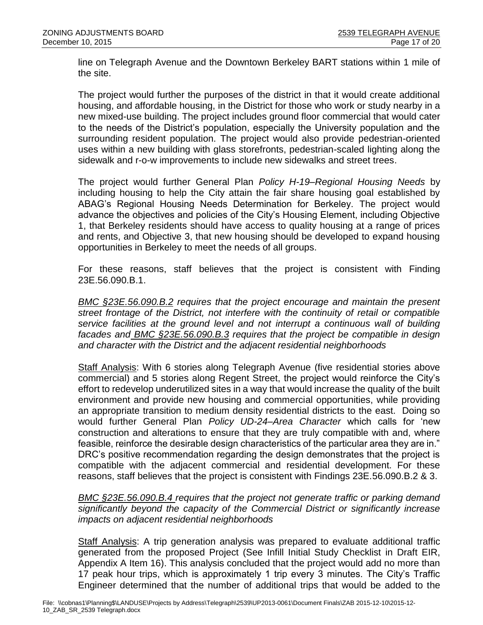line on Telegraph Avenue and the Downtown Berkeley BART stations within 1 mile of the site.

The project would further the purposes of the district in that it would create additional housing, and affordable housing, in the District for those who work or study nearby in a new mixed-use building. The project includes ground floor commercial that would cater to the needs of the District's population, especially the University population and the surrounding resident population. The project would also provide pedestrian-oriented uses within a new building with glass storefronts, pedestrian-scaled lighting along the sidewalk and r-o-w improvements to include new sidewalks and street trees.

The project would further General Plan *Policy H-19–Regional Housing Needs* by including housing to help the City attain the fair share housing goal established by ABAG's Regional Housing Needs Determination for Berkeley. The project would advance the objectives and policies of the City's Housing Element, including Objective 1, that Berkeley residents should have access to quality housing at a range of prices and rents, and Objective 3, that new housing should be developed to expand housing opportunities in Berkeley to meet the needs of all groups.

For these reasons, staff believes that the project is consistent with Finding 23E.56.090.B.1.

*BMC §23E.56.090.B.2 requires that the project encourage and maintain the present street frontage of the District, not interfere with the continuity of retail or compatible service facilities at the ground level and not interrupt a continuous wall of building facades and BMC §23E.56.090.B.3 requires that the project be compatible in design and character with the District and the adjacent residential neighborhoods*

Staff Analysis: With 6 stories along Telegraph Avenue (five residential stories above commercial) and 5 stories along Regent Street, the project would reinforce the City's effort to redevelop underutilized sites in a way that would increase the quality of the built environment and provide new housing and commercial opportunities, while providing an appropriate transition to medium density residential districts to the east. Doing so would further General Plan *Policy UD-24–Area Character* which calls for 'new construction and alterations to ensure that they are truly compatible with and, where feasible, reinforce the desirable design characteristics of the particular area they are in." DRC's positive recommendation regarding the design demonstrates that the project is compatible with the adjacent commercial and residential development. For these reasons, staff believes that the project is consistent with Findings 23E.56.090.B.2 & 3.

*BMC §23E.56.090.B.4 requires that the project not generate traffic or parking demand significantly beyond the capacity of the Commercial District or significantly increase impacts on adjacent residential neighborhoods*

Staff Analysis: A trip generation analysis was prepared to evaluate additional traffic generated from the proposed Project (See Infill Initial Study Checklist in Draft EIR, Appendix A Item 16). This analysis concluded that the project would add no more than 17 peak hour trips, which is approximately 1 trip every 3 minutes. The City's Traffic Engineer determined that the number of additional trips that would be added to the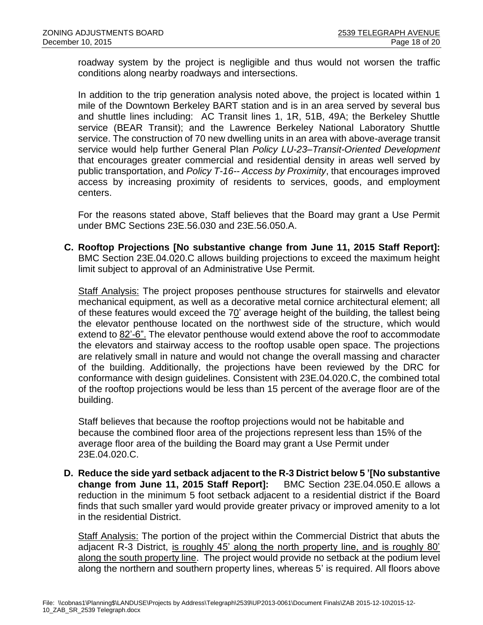roadway system by the project is negligible and thus would not worsen the traffic conditions along nearby roadways and intersections.

In addition to the trip generation analysis noted above, the project is located within 1 mile of the Downtown Berkeley BART station and is in an area served by several bus and shuttle lines including: AC Transit lines 1, 1R, 51B, 49A; the Berkeley Shuttle service (BEAR Transit); and the Lawrence Berkeley National Laboratory Shuttle service. The construction of 70 new dwelling units in an area with above-average transit service would help further General Plan *Policy LU-23–Transit-Oriented Development* that encourages greater commercial and residential density in areas well served by public transportation, and *Policy T-16-- Access by Proximity*, that encourages improved access by increasing proximity of residents to services, goods, and employment centers.

For the reasons stated above, Staff believes that the Board may grant a Use Permit under BMC Sections 23E.56.030 and 23E.56.050.A.

**C. Rooftop Projections [No substantive change from June 11, 2015 Staff Report]:**  BMC Section 23E.04.020.C allows building projections to exceed the maximum height limit subject to approval of an Administrative Use Permit.

Staff Analysis: The project proposes penthouse structures for stairwells and elevator mechanical equipment, as well as a decorative metal cornice architectural element; all of these features would exceed the 70' average height of the building, the tallest being the elevator penthouse located on the northwest side of the structure, which would extend to 82'-6". The elevator penthouse would extend above the roof to accommodate the elevators and stairway access to the rooftop usable open space. The projections are relatively small in nature and would not change the overall massing and character of the building. Additionally, the projections have been reviewed by the DRC for conformance with design guidelines. Consistent with 23E.04.020.C, the combined total of the rooftop projections would be less than 15 percent of the average floor are of the building.

Staff believes that because the rooftop projections would not be habitable and because the combined floor area of the projections represent less than 15% of the average floor area of the building the Board may grant a Use Permit under 23E.04.020.C.

**D. Reduce the side yard setback adjacent to the R-3 District below 5 '[No substantive change from June 11, 2015 Staff Report]:** BMC Section 23E.04.050.E allows a reduction in the minimum 5 foot setback adjacent to a residential district if the Board finds that such smaller yard would provide greater privacy or improved amenity to a lot in the residential District.

Staff Analysis: The portion of the project within the Commercial District that abuts the adjacent R-3 District, is roughly 45' along the north property line, and is roughly 80' along the south property line. The project would provide no setback at the podium level along the northern and southern property lines, whereas 5' is required. All floors above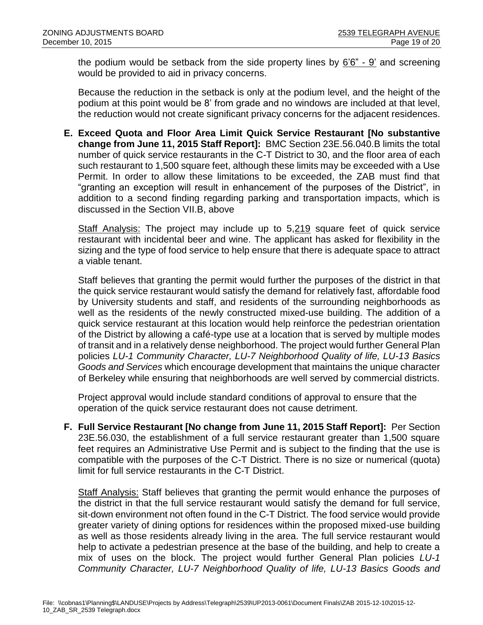the podium would be setback from the side property lines by 6'6" - 9' and screening would be provided to aid in privacy concerns.

Because the reduction in the setback is only at the podium level, and the height of the podium at this point would be 8' from grade and no windows are included at that level, the reduction would not create significant privacy concerns for the adjacent residences.

**E. Exceed Quota and Floor Area Limit Quick Service Restaurant [No substantive change from June 11, 2015 Staff Report]:** BMC Section 23E.56.040.B limits the total number of quick service restaurants in the C-T District to 30, and the floor area of each such restaurant to 1,500 square feet, although these limits may be exceeded with a Use Permit. In order to allow these limitations to be exceeded, the ZAB must find that "granting an exception will result in enhancement of the purposes of the District", in addition to a second finding regarding parking and transportation impacts, which is discussed in the Section VII.B, above

Staff Analysis: The project may include up to 5,219 square feet of quick service restaurant with incidental beer and wine. The applicant has asked for flexibility in the sizing and the type of food service to help ensure that there is adequate space to attract a viable tenant.

Staff believes that granting the permit would further the purposes of the district in that the quick service restaurant would satisfy the demand for relatively fast, affordable food by University students and staff, and residents of the surrounding neighborhoods as well as the residents of the newly constructed mixed-use building. The addition of a quick service restaurant at this location would help reinforce the pedestrian orientation of the District by allowing a café-type use at a location that is served by multiple modes of transit and in a relatively dense neighborhood. The project would further General Plan policies *LU-1 Community Character, LU-7 Neighborhood Quality of life, LU-13 Basics Goods and Services* which encourage development that maintains the unique character of Berkeley while ensuring that neighborhoods are well served by commercial districts.

Project approval would include standard conditions of approval to ensure that the operation of the quick service restaurant does not cause detriment.

**F. Full Service Restaurant [No change from June 11, 2015 Staff Report]:** Per Section 23E.56.030, the establishment of a full service restaurant greater than 1,500 square feet requires an Administrative Use Permit and is subject to the finding that the use is compatible with the purposes of the C-T District. There is no size or numerical (quota) limit for full service restaurants in the C-T District.

Staff Analysis: Staff believes that granting the permit would enhance the purposes of the district in that the full service restaurant would satisfy the demand for full service, sit-down environment not often found in the C-T District. The food service would provide greater variety of dining options for residences within the proposed mixed-use building as well as those residents already living in the area. The full service restaurant would help to activate a pedestrian presence at the base of the building, and help to create a mix of uses on the block. The project would further General Plan policies *LU-1 Community Character, LU-7 Neighborhood Quality of life, LU-13 Basics Goods and*